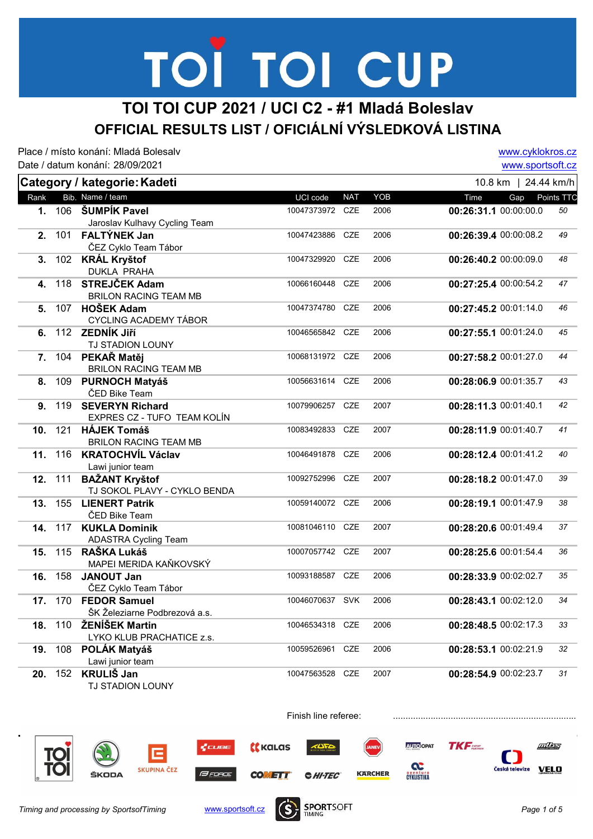## TOI TOI CUP

#### TOI TOI CUP 2021 / UCI C2 - #1 Mladá Boleslav OFFICIAL RESULTS LIST / OFICIÁLNÍ VÝSLEDKOVÁ LISTINA

Place / místo konání: Mladá Bolesalv Date / datum konání: 28/09/2021 www.cyklokros.cz www.sportsoft.cz Category / kategorie: Kadeti Rank Bib. Name / team **Subset Contains the Content Contains Contains Contains Contains Contains Contains Conta** 10.8 km | 24.44 km/h 1. 106 ŠUMPÍK Pavel 2006 2006 2007 10047373972 CZE 2006 Jaroslav Kulhavy Cycling Team 00:26:31.1 00:00:00.0 50 2. 101 FALTÝNEK Jan 10047423886 CZE 2006 ČEZ Cyklo Team Tábor 00:26:39.4 00:00:08.2 49 3. 102 KRÁL Krvštof 10047329920 CZE 2006 DUKLA PRAHA  $00:26:40.2$  00:00:09.0 48 **4. 118 STREJČEK Adam 10066160448 CZE 2006** BRILON RACING TEAM MB  $0.127:25.400:00:54.2$  47 5. 107 HOŠEK Adam 10047374780 CZE 2006 CYCLING ACADEMY TÁBOR 00:27:45.2 00:01:14.0 46 6. 112 ZEDNÍK JIří **10046565842 CZE** 2006 TJ STADION LOUNY  $00:27:55.1$  00:01:24.0 45 7. 104 PEKAŘ Matěj v vyhládní prostav v 10068131972 CZE 2006 BRILON RACING TEAM MB 00:27:58.2 00:01:27.0 44 8. 109 PURNOCH Matyáš 10056631614 CZE 2006 ČED Bike Team 00:28:06.9 00:01:35.7 43 9. 119 SEVERYN Richard 10079906257 CZE 2007 EXPRES CZ - TUFO TEAM KOLÍN 00:28:11.3 00:01:40.1 42 10. 121 HÁJEK Tomáš 10083492833 CZE 2007 BRILON RACING TEAM MB 00:28:11.9 00:01:40.7 41 11. 116 KRATOCHVÍL Václav 10046491878 CZE 2006 Lawi junior team 00:28:12.4 00:01:41.2 40 12. 111 BAŽANT Kryštof 10092752996 CZE 2007 TJ SOKOL PLAVY - CYKLO BENDA 00:28:18.2 00:01:47.0 39 13. 155 LIENERT Patrik 10059140072 CZE 2006 ČED Bike Team 00:28:19.1 00:01:47.9 38 14. 117 KUKLA Dominik 10081046110 CZE 2007 ADASTRA Cycling Team 00:28:20.6 00:01:49.4 37 15. 115 RAŠKA Lukáš 10007057742 CZE 2007 MAPEI MERIDA KAŇKOVSKÝ  $00:28:25.600:01:54.4$  36 16. JANOUT Jan 00:28:33.9 ČEZ Cyklo Team Tábor 00:28:33.9 00:02:02.7 35 17. 170 FEDOR Samuel 10046070637 SVK 2006 ŠK Železiarne Podbrezová a.s. 00:28:43.1 00:02:12.0 34 18. 110 ŽENÍŠEK Martin 10046534318 CZE 2006 LYKO KLUB PRACHATICE z.s. 00:28:48.5 00:02:17.3 33 19. 108 POLÁK Matváš 10059526961 CZE 2006 Lawi junior team 00:28:53.1 00:02:21.9 32 20. 152 KRULIŠ Jan 10047563528 CZE 2007 TJ STADION LOUNY 00:28:54.9 00:02:23.7 31



Finish line referee: .......................................................................................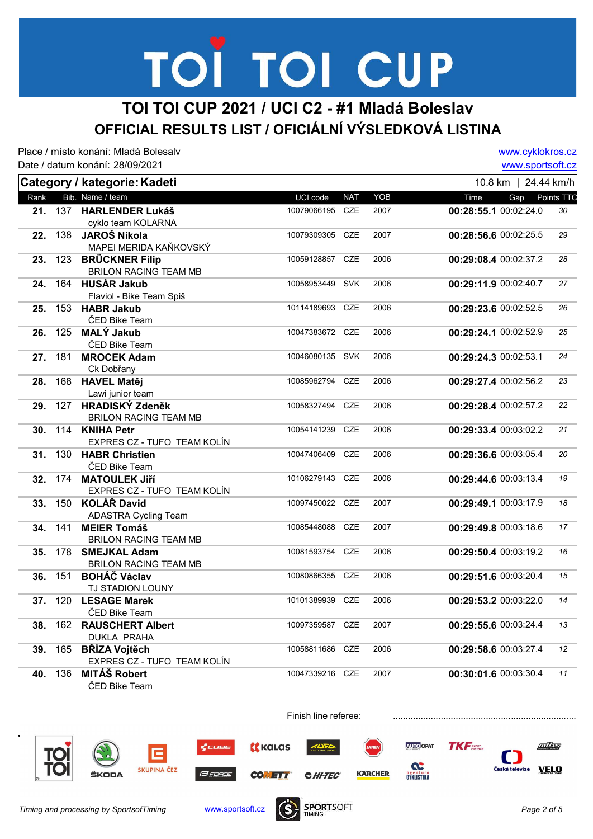# TOÏ TOI CUP

#### TOI TOI CUP 2021 / UCI C2 - #1 Mladá Boleslav OFFICIAL RESULTS LIST / OFICIÁLNÍ VÝSLEDKOVÁ LISTINA

|      |     | Place / místo konání: Mladá Bolesaly |                 |            |      | www.cyklokros.cz      |            |
|------|-----|--------------------------------------|-----------------|------------|------|-----------------------|------------|
|      |     | Date / datum konání: 28/09/2021      |                 |            |      | www.sportsoft.cz      |            |
|      |     | Category / kategorie: Kadeti         |                 |            |      | 10.8 km   24.44 km/h  |            |
| Rank |     | Bib. Name / team                     | UCI code        | <b>NAT</b> | YOB  | Time<br>Gap           | Points TTC |
| 21.  | 137 | <b>HARLENDER Lukáš</b>               | 10079066195 CZE |            | 2007 | 00:28:55.1 00:02:24.0 | 30         |
|      |     | cyklo team KOLARNA                   |                 |            |      |                       |            |
| 22.  | 138 | JAROŠ Nikola                         | 10079309305 CZE |            | 2007 | 00:28:56.6 00:02:25.5 | 29         |
|      |     | MAPEI MERIDA KAŇKOVSKÝ               |                 |            |      |                       |            |
| 23.  | 123 | <b>BRÜCKNER Filip</b>                | 10059128857 CZE |            | 2006 | 00:29:08.4 00:02:37.2 | 28         |
|      |     | <b>BRILON RACING TEAM MB</b>         |                 |            |      |                       |            |
| 24.  | 164 | HUSÁR Jakub                          | 10058953449 SVK |            | 2006 | 00:29:11.9 00:02:40.7 | 27         |
|      |     | Flaviol - Bike Team Spiš             |                 |            |      |                       |            |
| 25.  | 153 | <b>HABR Jakub</b>                    | 10114189693 CZE |            | 2006 | 00:29:23.6 00:02:52.5 | 26         |
|      |     | ČED Bike Team                        |                 |            |      |                       |            |
| 26.  | 125 | <b>MALÝ Jakub</b>                    | 10047383672 CZE |            | 2006 | 00:29:24.1 00:02:52.9 | 25         |
|      |     | ČED Bike Team                        | 10046080135 SVK |            |      |                       |            |
| 27.  | 181 | <b>MROCEK Adam</b>                   |                 |            | 2006 | 00:29:24.3 00:02:53.1 | 24         |
| 28.  | 168 | Ck Dobřany<br><b>HAVEL Matěj</b>     | 10085962794     | CZE        | 2006 | 00:29:27.4 00:02:56.2 | 23         |
|      |     | Lawi junior team                     |                 |            |      |                       |            |
| 29.  |     | 127 HRADISKÝ Zdeněk                  | 10058327494     | CZE        | 2006 | 00:29:28.4 00:02:57.2 | 22         |
|      |     | <b>BRILON RACING TEAM MB</b>         |                 |            |      |                       |            |
| 30.  |     | 114 KNIHA Petr                       | 10054141239     | CZE        | 2006 | 00:29:33.4 00:03:02.2 | 21         |
|      |     | EXPRES CZ - TUFO TEAM KOLÍN          |                 |            |      |                       |            |
| 31.  | 130 | <b>HABR Christien</b>                | 10047406409     | CZE        | 2006 | 00:29:36.6 00:03:05.4 | 20         |
|      |     | ČED Bike Team                        |                 |            |      |                       |            |
| 32.  | 174 | <b>MATOULEK Jiří</b>                 | 10106279143     | CZE        | 2006 | 00:29:44.6 00:03:13.4 | 19         |
|      |     | EXPRES CZ - TUFO TEAM KOLÍN          |                 |            |      |                       |            |
| 33.  | 150 | <b>KOLÁŘ David</b>                   | 10097450022 CZE |            | 2007 | 00:29:49.1 00:03:17.9 | 18         |
|      |     | <b>ADASTRA Cycling Team</b>          |                 |            |      |                       |            |
| 34.  | 141 | <b>MEIER Tomáš</b>                   | 10085448088     | <b>CZE</b> | 2007 | 00:29:49.8 00:03:18.6 | 17         |
|      |     | <b>BRILON RACING TEAM MB</b>         |                 |            |      |                       |            |
| 35.  | 178 | <b>SMEJKAL Adam</b>                  | 10081593754     | <b>CZE</b> | 2006 | 00:29:50.4 00:03:19.2 | 16         |
|      |     | <b>BRILON RACING TEAM MB</b>         |                 |            |      |                       |            |
| 36.  | 151 | <b>BOHÁČ Václav</b>                  | 10080866355 CZE |            | 2006 | 00:29:51.6 00:03:20.4 | 15         |
|      |     | <b>TJ STADION LOUNY</b>              |                 |            |      |                       |            |
| 37.  | 120 | <b>LESAGE Marek</b>                  | 10101389939 CZE |            | 2006 | 00:29:53.2 00:03:22.0 | 14         |
|      |     | ČED Bike Team                        |                 |            |      |                       |            |
| 38.  | 162 | <b>RAUSCHERT Albert</b>              | 10097359587 CZE |            | 2007 | 00:29:55.6 00:03:24.4 | 13         |
|      |     | DUKLA PRAHA<br><b>BŘÍZA Vojtěch</b>  | 10058811686     | CZE        | 2006 |                       | $12\,$     |
| 39.  | 165 | EXPRES CZ - TUFO TEAM KOLÍN          |                 |            |      | 00:29:58.6 00:03:27.4 |            |
| 40.  | 136 | <b>MITÁŠ Robert</b>                  | 10047339216 CZE |            | 2007 | 00:30:01.6 00:03:30.4 | 11         |
|      |     | ČED Bike Team                        |                 |            |      |                       |            |





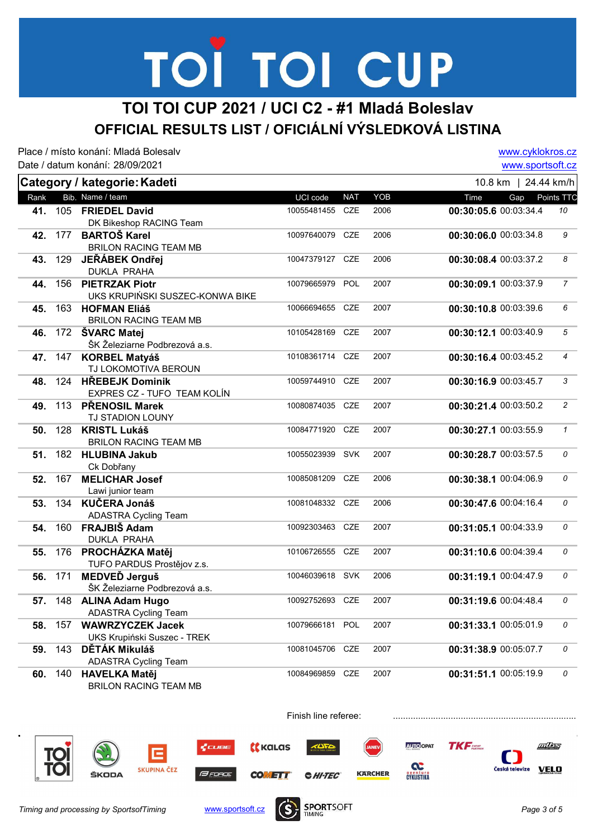## TOI TOI CUP

#### TOI TOI CUP 2021 / UCI C2 - #1 Mladá Boleslav OFFICIAL RESULTS LIST / OFICIÁLNÍ VÝSLEDKOVÁ LISTINA

Place / místo konání: Mladá Bolesalv Date / datum konání: 28/09/2021 www.cyklokros.cz www.sportsoft.cz Category / kategorie: Kadeti Rank Bib. Name / team **Subset Contains the Content Contains Contains Contains Contains Contains Contains Conta** 10.8 km | 24.44 km/h 41. FRIEDEL David 00:30:05.6 DK Bikeshop RACING Team 00:30:05.6 00:03:34.4 10 42. 177 BARTOŠ Karel 10097640079 CZE 2006 BRILON RACING TEAM MB  $0.30:06.000:03:34.8$  9 43. 129 JEŘÁBEK Ondřei 10047379127 CZE 2006 DUKLA PRAHA 00:30:08.4 00:03:37.2 8 44. 156 PIETRZAK Piotr **10079665979 POL** 2007 UKS KRUPIŃSKI SUSZEC-KONWA BIKE 00:30:09.1 00:03:37.9 45. 163 HOFMAN Eliáš 10066694655 CZE 2007 BRILON RACING TEAM MB  $0.30:10.8$  00:03:39.6 6 **46.** 172 **ŠVARC Matei 10105428169 CZE** 2007 ŠK Železiarne Podbrezová a.s.  $0.30:12.100:03:40.9$  5 47. 147 KORBEL Matyáš 10108361714 CZE 2007 TJ LOKOMOTIVA BEROUN  $00:30:16.4$  00:03:45.2 4 48. 124 HŘEBEJK Dominik 10059744910 CZE 2007 EXPRES CZ - TUFO TEAM KOLÍN  $00:30:16.9$   $00:03:45.7$  3 **49.** 113 PŘENOSIL Marek 10080874035 CZE 2007 TJ STADION LOUNY  $00:30:21.400:03:50.2$  2 50. 128 KRISTL Lukáš 10084771920 CZE 2007 BRILON RACING TEAM MB  $00:30:27.100:03:55.9$  1 51. 182 HLUBINA Jakub 10055023939 SVK 2007 Ck Dobřany  $00:30:28.7$  00:03:57.5 0 52. 167 MELICHAR Josef 10085081209 CZE 2006 Lawi junior team  $0.30:38.100:04:06.9$  0 53. 134 KUČERA Jonáš 10081048332 CZE 2006 ADASTRA Cycling Team  $00:30:47.600:04:16.4$  0 54. 160 FRAJBIŠ Adam 10092303463 CZE 2007 DUKLA PRAHA  $00:31:05.1$  00:04:33.9 0 55. 176 PROCHÁZKA Matěj 10106726555 CZE 2007 00:31:10.6 00:04:39.4 0 TUFO PARDUS Prostějov z.s. **56.** 171 MEDVEĎ Jerguš 10046039618 SVK 2006 ŠK Železiarne Podbrezová a.s.  $00:31:19.1$   $00:04:47.9$  0 57. 148 **ALINA Adam Hugo** 10092752693 CZE 2007 ADASTRA Cycling Team 00:31:19.6 00:04:48.4 0 58. 157 WAWRZYCZEK Jacek 10079666181 POL 2007 00:31:33.1 00:05:01.9 0 UKS Krupiński Suszec - TREK 59. 143 DĚTÁK Mikuláš 10081045706 CZE 2007 ADASTRA Cycling Team  $0.31:38.900:05:07.7$  0 60. 140 HAVELKA Matěj v vyhlásních prostavení (\* 10084969859 CZE 2007 BRILON RACING TEAM MB  $00:31:51.1$  00:05:19.9 0



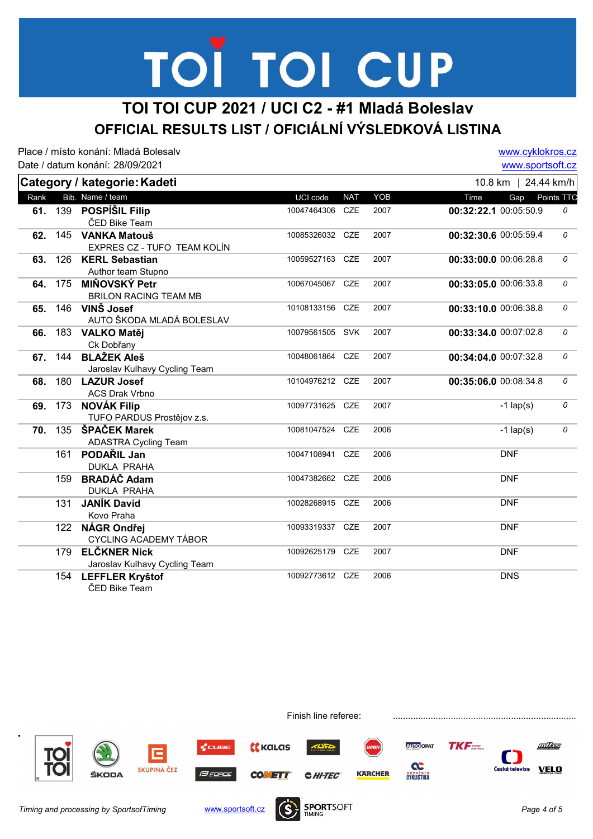# TOÏ TOI CUP

#### TOI TOI CUP 2021 / UCI C2 - #1 Mladá Boleslav OFFICIAL RESULTS LIST / OFICIÁLNÍ VÝSLEDKOVÁ LISTINA

Place / místo konání: Mladá Bolesalv Date / datum konání: 28/09/2021

www.cyklokros.cz www.sportsoft.cz

|      |         |                               |                 |            |      | www.oportoon.oz       |            |
|------|---------|-------------------------------|-----------------|------------|------|-----------------------|------------|
|      |         | Category / kategorie: Kadeti  |                 |            |      | 10.8 km   24.44 km/h  |            |
| Rank |         | Bib. Name / team              | UCI code        | <b>NAT</b> | YOB  | Time<br>Gap           | Points TTC |
|      | 61. 139 | <b>POSPÍŠIL Filip</b>         | 10047464306     | CZE        | 2007 | 00:32:22.1 00:05:50.9 | 0          |
|      |         | ČED Bike Team                 |                 |            |      |                       |            |
| 62.  |         | 145 VANKA Matouš              | 10085326032 CZE |            | 2007 | 00:32:30.6 00:05:59.4 | 0          |
|      |         | EXPRES CZ - TUFO TEAM KOLÍN   |                 |            |      |                       |            |
| 63.  | 126     | <b>KERL Sebastian</b>         | 10059527163 CZE |            | 2007 | 00:33:00.0 00:06:28.8 | 0          |
|      |         | Author team Stupno            |                 |            |      |                       |            |
| 64.  | 175     | MIŇOVSKÝ Petr                 | 10067045067 CZE |            | 2007 | 00:33:05.0 00:06:33.8 | 0          |
|      |         | <b>BRILON RACING TEAM MB</b>  |                 |            |      |                       |            |
| 65.  | 146     | VINŠ Josef                    | 10108133156     | CZE        | 2007 | 00:33:10.0 00:06:38.8 | 0          |
|      |         | AUTO ŠKODA MLADÁ BOLESLAV     |                 |            |      |                       |            |
| 66.  | 183     | <b>VALKO Matěj</b>            | 10079561505 SVK |            | 2007 | 00:33:34.0 00:07:02.8 | 0          |
|      |         | Ck Dobřany                    |                 |            |      |                       |            |
| 67.  | 144     | <b>BLAŽEK Aleš</b>            | 10048061864 CZE |            | 2007 | 00:34:04.0 00:07:32.8 | 0          |
|      |         | Jaroslav Kulhavy Cycling Team |                 |            |      |                       |            |
| 68.  | 180     | <b>LAZUR Josef</b>            | 10104976212 CZE |            | 2007 | 00:35:06.0 00:08:34.8 | 0          |
|      |         | <b>ACS Drak Vrbno</b>         |                 |            |      |                       |            |
| 69.  | 173     | <b>NOVÁK Filip</b>            | 10097731625 CZE |            | 2007 | $-1$ lap(s)           | 0          |
|      |         | TUFO PARDUS Prostějov z.s.    |                 |            |      |                       |            |
| 70.  | 135     | ŠPAČEK Marek                  | 10081047524 CZE |            | 2006 | $-1$ lap(s)           | 0          |
|      |         | <b>ADASTRA Cycling Team</b>   |                 |            |      |                       |            |
|      | 161     | PODAŘIL Jan                   | 10047108941 CZE |            | 2006 | <b>DNF</b>            |            |
|      |         | <b>DUKLA PRAHA</b>            |                 |            |      |                       |            |
|      | 159     | <b>BRADÁČ Adam</b>            | 10047382662 CZE |            | 2006 | <b>DNF</b>            |            |
|      |         | <b>DUKLA PRAHA</b>            |                 |            |      |                       |            |
|      | 131     | <b>JANÍK David</b>            | 10028268915 CZE |            | 2006 | <b>DNF</b>            |            |
|      |         | Kovo Praha                    |                 |            |      |                       |            |
|      | 122     | NÁGR Ondřej                   | 10093319337 CZE |            | 2007 | <b>DNF</b>            |            |
|      |         | <b>CYCLING ACADEMY TÁBOR</b>  |                 |            |      |                       |            |
|      | 179     | <b>ELČKNER Nick</b>           | 10092625179     | CZE        | 2007 | <b>DNF</b>            |            |
|      |         | Jaroslav Kulhavy Cycling Team |                 |            |      |                       |            |
|      | 154     | <b>LEFFLER Kryštof</b>        | 10092773612     | CZE        | 2006 | <b>DNS</b>            |            |
|      |         | ČED Bike Team                 |                 |            |      |                       |            |